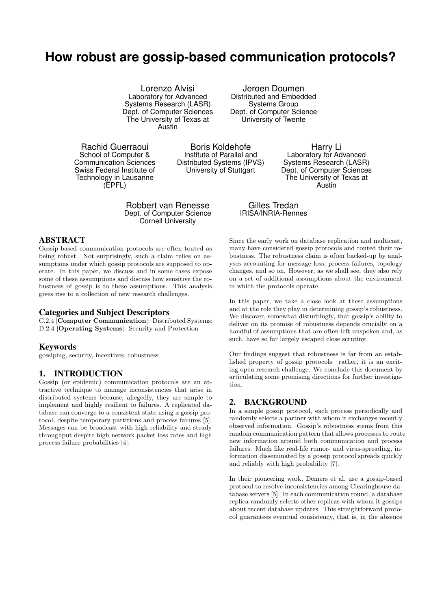# **How robust are gossip-based communication protocols?**

Lorenzo Alvisi Laboratory for Advanced Systems Research (LASR) Dept. of Computer Sciences The University of Texas at Austin

Jeroen Doumen Distributed and Embedded Systems Group Dept. of Computer Science University of Twente

Rachid Guerraoui School of Computer & Communication Sciences Swiss Federal Institute of Technology in Lausanne (EPFL)

Boris Koldehofe Institute of Parallel and Distributed Systems (IPVS) University of Stuttgart

Robbert van Renesse Dept. of Computer Science Cornell University

Harry Li Laboratory for Advanced Systems Research (LASR) Dept. of Computer Sciences The University of Texas at Austin

Gilles Tredan IRISA/INRIA-Rennes

# ABSTRACT

Gossip-based communication protocols are often touted as being robust. Not surprisingly, such a claim relies on assumptions under which gossip protocols are supposed to operate. In this paper, we discuss and in some cases expose some of these assumptions and discuss how sensitive the robustness of gossip is to these assumptions. This analysis gives rise to a collection of new research challenges.

#### Categories and Subject Descriptors

C.2.4 [Computer Communication]: Distributed Systems; D.2.4 [Operating Systems]: Security and Protection

#### Keywords

gossiping, security, incentives, robustness

# 1. INTRODUCTION

Gossip (or epidemic) communication protocols are an attractive technique to manage inconsistencies that arise in distributed systems because, allegedly, they are simple to implement and highly resilient to failures. A replicated database can converge to a consistent state using a gossip protocol, despite temporary partitions and process failures [5]. Messages can be broadcast with high reliability and steady throughput despite high network packet loss rates and high process failure probabilities [4].

Since the early work on database replication and multicast, many have considered gossip protocols and touted their robustness. The robustness claim is often backed-up by analyses accounting for message loss, process failures, topology changes, and so on. However, as we shall see, they also rely on a set of additional assumptions about the environment in which the protocols operate.

In this paper, we take a close look at these assumptions and at the role they play in determining gossip's robustness. We discover, somewhat disturbingly, that gossip's ability to deliver on its promise of robustness depends crucially on a handful of assumptions that are often left unspoken and, as such, have so far largely escaped close scrutiny.

Our findings suggest that robustness is far from an established property of gossip protocols—rather, it is an exciting open research challenge. We conclude this document by articulating some promising directions for further investigation.

# 2. BACKGROUND

In a simple gossip protocol, each process periodically and randomly selects a partner with whom it exchanges recently observed information. Gossip's robustness stems from this random communication pattern that allows processes to route new information around both communication and process failures. Much like real-life rumor- and virus-spreading, information disseminated by a gossip protocol spreads quickly and reliably with high probability [7].

In their pioneering work, Demers et al. use a gossip-based protocol to resolve inconsistencies among Clearinghouse database servers [5]. In each communication round, a database replica randomly selects other replicas with whom it gossips about recent database updates. This straightforward protocol guarantees eventual consistency, that is, in the absence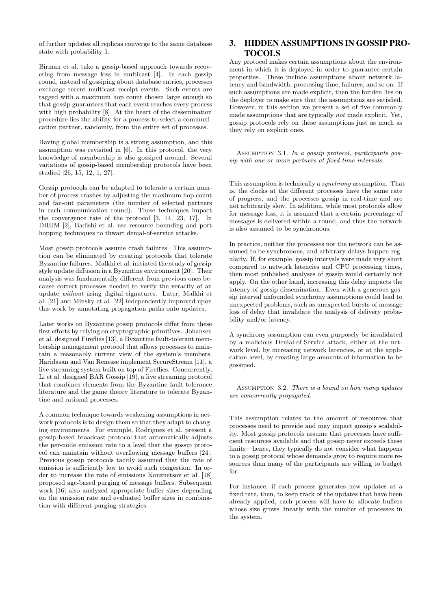of further updates all replicas converge to the same database state with probability 1.

Birman et al. take a gossip-based approach towards recovering from message loss in multicast [4]. In each gossip round, instead of gossiping about database entries, processes exchange recent multicast receipt events. Such events are tagged with a maximum hop count chosen large enough so that gossip guarantees that each event reaches every process with high probability [8]. At the heart of the dissemination procedure lies the ability for a process to select a communication partner, randomly, from the entire set of processes.

Having global membership is a strong assumption, and this assumption was revisited in [6]. In this protocol, the very knowledge of membership is also gossiped around. Several variations of gossip-based membership protocols have been studied [26, 15, 12, 1, 27].

Gossip protocols can be adapted to tolerate a certain number of process crashes by adjusting the maximum hop count and fan-out parameters (the number of selected partners in each communication round). These techniques impact the convergence rate of the protocol [3, 14, 23, 17]. In DRUM [2], Badishi et al. use resource bounding and port hopping techniques to thwart denial-of-service attacks.

Most gossip protocols assume crash failures. This assumption can be eliminated by creating protocols that tolerate Byzantine failures. Malkhi et al. initiated the study of gossipstyle update diffusion in a Byzantine environment [20]. Their analysis was fundamentally different from previous ones because correct processes needed to verify the veracity of an update without using digital signatures. Later, Malkhi et al. [21] and Minsky et al. [22] independently improved upon this work by annotating propagation paths onto updates.

Later works on Byzantine gossip protocols differ from these first efforts by relying on cryptographic primitives. Johansen et al. designed Fireflies [13], a Byzantine fault-tolerant membership management protocol that allows processes to maintain a reasonably current view of the system's members. Haridasan and Van Renesse implement SecureStream [11], a live streaming system built on top of Fireflies. Concurrently, Li et al. designed BAR Gossip [19], a live streaming protocol that combines elements from the Byzantine fault-tolerance literature and the game theory literature to tolerate Byzantine and rational processes.

A common technique towards weakening assumptions in network protocols is to design them so that they adapt to changing environments. For example, Rodrigues et al. present a gossip-based broadcast protocol that automatically adjusts the per-node emission rate to a level that the gossip protocol can maintain without overflowing message buffers [24]. Previous gossip protocols tacitly assumed that the rate of emission is sufficiently low to avoid such congestion. In order to increase the rate of emissions Kouznetsov et al. [18] proposed age-based purging of message buffers. Subsequent work [16] also analyzed appropriate buffer sizes depending on the emission rate and evaluated buffer sizes in combination with different purging strategies.

# 3. HIDDEN ASSUMPTIONS IN GOSSIP PRO-TOCOLS

Any protocol makes certain assumptions about the environment in which it is deployed in order to guarantee certain properties. These include assumptions about network latency and bandwidth, processing time, failures, and so on. If such assumptions are made explicit, then the burden lies on the deployer to make sure that the assumptions are satisfied. However, in this section we present a set of five commonly made assumptions that are typically not made explicit. Yet, gossip protocols rely on these assumptions just as much as they rely on explicit ones.

Assumption 3.1. In a gossip protocol, participants gossip with one or more partners at fixed time intervals.

This assumption is technically a synchrony assumption. That is, the clocks at the different processes have the same rate of progress, and the processes gossip in real-time and are not arbitrarily slow. In addition, while most protocols allow for message loss, it is assumed that a certain percentage of messages is delivered within a round, and thus the network is also assumed to be synchronous.

In practice, neither the processes nor the network can be assumed to be synchronous, and arbitrary delays happen regularly. If, for example, gossip intervals were made very short compared to network latencies and CPU processing times, then most published analyses of gossip would certainly not apply. On the other hand, increasing this delay impacts the latency of gossip dissemination. Even with a generous gossip interval unfounded synchrony assumptions could lead to unexpected problems, such as unexpected bursts of message loss of delay that invalidate the analysis of delivery probability and/or latency.

A synchrony assumption can even purposely be invalidated by a malicious Denial-of-Service attack, either at the network level, by increasing network latencies, or at the application level, by creating large amounts of information to be gossiped.

Assumption 3.2. There is a bound on how many updates are concurrently propagated.

This assumption relates to the amount of resources that processes need to provide and may impact gossip's scalability. Most gossip protocols assume that processes have sufficient resources available and that gossip never exceeds these limits—hence, they typically do not consider what happens to a gossip protocol whose demands grow to require more resources than many of the participants are willing to budget for.

For instance, if each process generates new updates at a fixed rate, then, to keep track of the updates that have been already applied, each process will have to allocate buffers whose size grows linearly with the number of processes in the system.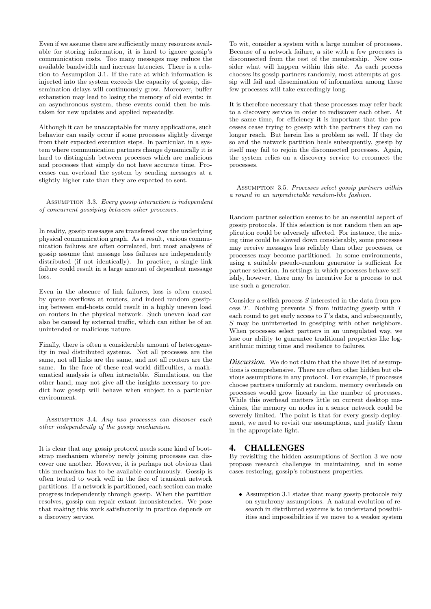Even if we assume there are sufficiently many resources available for storing information, it is hard to ignore gossip's communication costs. Too many messages may reduce the available bandwidth and increase latencies. There is a relation to Assumption 3.1. If the rate at which information is injected into the system exceeds the capacity of gossip, dissemination delays will continuously grow. Moreover, buffer exhaustion may lead to losing the memory of old events: in an asynchronous system, these events could then be mistaken for new updates and applied repeatedly.

Although it can be unacceptable for many applications, such behavior can easily occur if some processes slightly diverge from their expected execution steps. In particular, in a system where communication partners change dynamically it is hard to distinguish between processes which are malicious and processes that simply do not have accurate time. Processes can overload the system by sending messages at a slightly higher rate than they are expected to sent.

ASSUMPTION 3.3. Every gossip interaction is independent of concurrent gossiping between other processes.

In reality, gossip messages are transfered over the underlying physical communication graph. As a result, various communication failures are often correlated, but most analyses of gossip assume that message loss failures are independently distributed (if not identically). In practice, a single link failure could result in a large amount of dependent message loss.

Even in the absence of link failures, loss is often caused by queue overflows at routers, and indeed random gossiping between end-hosts could result in a highly uneven load on routers in the physical network. Such uneven load can also be caused by external traffic, which can either be of an unintended or malicious nature.

Finally, there is often a considerable amount of heterogeneity in real distributed systems. Not all processes are the same, not all links are the same, and not all routers are the same. In the face of these real-world difficulties, a mathematical analysis is often intractable. Simulations, on the other hand, may not give all the insights necessary to predict how gossip will behave when subject to a particular environment.

Assumption 3.4. Any two processes can discover each other independently of the gossip mechanism.

It is clear that any gossip protocol needs some kind of bootstrap mechanism whereby newly joining processes can discover one another. However, it is perhaps not obvious that this mechanism has to be available continuously. Gossip is often touted to work well in the face of transient network partitions. If a network is partitioned, each section can make progress independently through gossip. When the partition resolves, gossip can repair extant inconsistencies. We pose that making this work satisfactorily in practice depends on a discovery service.

To wit, consider a system with a large number of processes. Because of a network failure, a site with a few processes is disconnected from the rest of the membership. Now consider what will happen within this site. As each process chooses its gossip partners randomly, most attempts at gossip will fail and dissemination of information among these few processes will take exceedingly long.

It is therefore necessary that these processes may refer back to a discovery service in order to rediscover each other. At the same time, for efficiency it is important that the processes cease trying to gossip with the partners they can no longer reach. But herein lies a problem as well. If they do so and the network partition heals subsequently, gossip by itself may fail to rejoin the disconnected processes. Again, the system relies on a discovery service to reconnect the processes.

Assumption 3.5. Processes select gossip partners within a round in an unpredictable random-like fashion.

Random partner selection seems to be an essential aspect of gossip protocols. If this selection is not random then an application could be adversely affected. For instance, the mixing time could be slowed down considerably, some processes may receive messages less reliably than other processes, or processes may become partitioned. In some environments, using a suitable pseudo-random generator is sufficient for partner selection. In settings in which processes behave selfishly, however, there may be incentive for a process to not use such a generator.

Consider a selfish process S interested in the data from process  $T$ . Nothing prevents  $S$  from initiating gossip with  $T$ each round to get early access to T's data, and subsequently, S may be uninterested in gossiping with other neighbors. When processes select partners in an unregulated way, we lose our ability to guarantee traditional properties like logarithmic mixing time and resilience to failures.

*Discussion.* We do not claim that the above list of assumptions is comprehensive. There are often other hidden but obvious assumptions in any protocol. For example, if processes choose partners uniformly at random, memory overheads on processes would grow linearly in the number of processes. While this overhead matters little on current desktop machines, the memory on nodes in a sensor network could be severely limited. The point is that for every gossip deployment, we need to revisit our assumptions, and justify them in the appropriate light.

# 4. CHALLENGES

By revisiting the hidden assumptions of Section 3 we now propose research challenges in maintaining, and in some cases restoring, gossip's robustness properties.

• Assumption 3.1 states that many gossip protocols rely on synchrony assumptions. A natural evolution of research in distributed systems is to understand possibilities and impossibilities if we move to a weaker system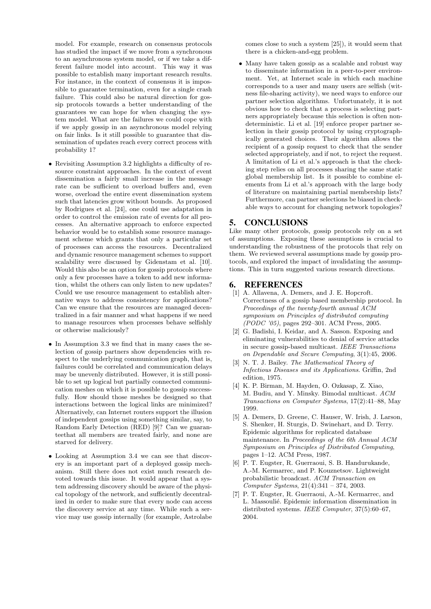model. For example, research on consensus protocols has studied the impact if we move from a synchronous to an asynchronous system model, or if we take a different failure model into account. This way it was possible to establish many important research results. For instance, in the context of consensus it is impossible to guarantee termination, even for a single crash failure. This could also be natural direction for gossip protocols towards a better understanding of the guarantees we can hope for when changing the system model. What are the failures we could cope with if we apply gossip in an asynchronous model relying on fair links. Is it still possible to guarantee that dissemination of updates reach every correct process with probability 1?

- Revisiting Assumption 3.2 highlights a difficulty of resource constraint approaches. In the context of event dissemination a fairly small increase in the message rate can be sufficient to overload buffers and, even worse, overload the entire event dissemination system such that latencies grow without bounds. As proposed by Rodrigues et al. [24], one could use adaptation in order to control the emission rate of events for all processes. An alternative approach to enforce expected behavior would be to establish some resource management scheme which grants that only a particular set of processes can access the resources. Decentralized and dynamic resource management schemes to support scalability were discussed by Gidenstam et al. [10]. Would this also be an option for gossip protocols where only a few processes have a token to add new information, whilst the others can only listen to new updates? Could we use resource management to establish alternative ways to address consistency for applications? Can we ensure that the resources are managed decentralized in a fair manner and what happens if we need to manage resources when processes behave selfishly or otherwise maliciously?
- In Assumption 3.3 we find that in many cases the selection of gossip partners show dependencies with respect to the underlying communication graph, that is, failures could be correlated and communication delays may be unevenly distributed. However, it is still possible to set up logical but partially connected communication meshes on which it is possible to gossip successfully. How should those meshes be designed so that interactions between the logical links are minimized? Alternatively, can Internet routers support the illusion of independent gossips using something similar, say, to Random Early Detection (RED) [9]? Can we guaranteethat all members are treated fairly, and none are starved for delivery.
- Looking at Assumption 3.4 we can see that discovery is an important part of a deployed gossip mechanism. Still there does not exist much research devoted towards this issue. It would appear that a system addressing discovery should be aware of the physical topology of the network, and sufficiently decentralized in order to make sure that every node can access the discovery service at any time. While such a service may use gossip internally (for example, Astrolabe

comes close to such a system [25]), it would seem that there is a chicken-and-egg problem.

• Many have taken gossip as a scalable and robust way to disseminate information in a peer-to-peer environment. Yet, at Internet scale in which each machine corresponds to a user and many users are selfish (witness file-sharing activity), we need ways to enforce our partner selection algorithms. Unfortunately, it is not obvious how to check that a process is selecting partners appropriately because this selection is often nondeterministic. Li et al. [19] enforce proper partner selection in their gossip protocol by using cryptographically generated choices. Their algorithm allows the recipient of a gossip request to check that the sender selected appropriately, and if not, to reject the request. A limitation of Li et al.'s approach is that the checking step relies on all processes sharing the same static global membership list. Is it possible to combine elements from Li et al.'s approach with the large body of literature on maintaining partial membership lists? Furthermore, can partner selections be biased in checkable ways to account for changing network topologies?

# 5. CONCLUSIONS

Like many other protocols, gossip protocols rely on a set of assumptions. Exposing these assumptions is crucial to understanding the robustness of the protocols that rely on them. We reviewed several assumptions made by gossip protocols, and explored the impact of invalidating the assumptions. This in turn suggested various research directions.

# 6. REFERENCES

- [1] A. Allavena, A. Demers, and J. E. Hopcroft. Correctness of a gossip based membership protocol. In Proceedings of the twenty-fourth annual ACM symposium on Principles of distributed computing (PODC '05), pages 292–301. ACM Press, 2005.
- [2] G. Badishi, I. Keidar, and A. Sasson. Exposing and eliminating vulnerabilities to denial of service attacks in secure gossip-based multicast. IEEE Transactions on Dependable and Secure Computing, 3(1):45, 2006.
- [3] N. T. J. Bailey. The Mathematical Theory of Infectious Diseases and its Applications. Griffin, 2nd edition, 1975.
- [4] K. P. Birman, M. Hayden, O. Ozkasap, Z. Xiao, M. Budiu, and Y. Minsky. Bimodal multicast. ACM Transactions on Computer Systems, 17(2):41–88, May 1999.
- [5] A. Demers, D. Greene, C. Hauser, W. Irish, J. Larson, S. Shenker, H. Sturgis, D. Swinehart, and D. Terry. Epidemic algorithms for replicated database maintenance. In Proceedings of the 6th Annual ACM Symposium on Principles of Distributed Computing, pages 1–12. ACM Press, 1987.
- [6] P. T. Eugster, R. Guerraoui, S. B. Handurukande, A.-M. Kermarrec, and P. Kouznetsov. Lightweight probabilistic broadcast. ACM Transaction on Computer Systems, 21(4):341 – 374, 2003.
- [7] P. T. Eugster, R. Guerraoui, A.-M. Kermarrec, and L. Massoulié. Epidemic information dissemination in distributed systems. IEEE Computer, 37(5):60–67, 2004.